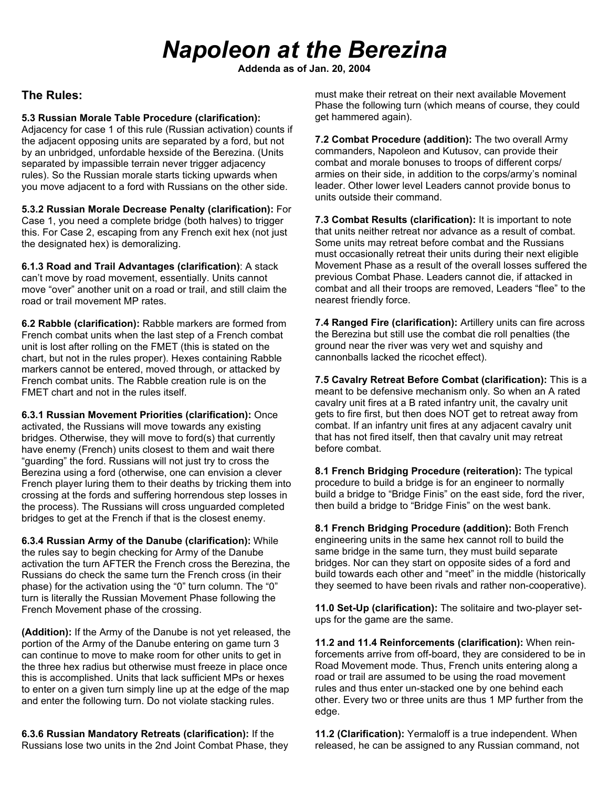## *Napoleon at the Berezina*

**Addenda as of Jan. 20, 2004**

## **The Rules:**

## **5.3 Russian Morale Table Procedure (clarification):**

Adjacency for case 1 of this rule (Russian activation) counts if the adjacent opposing units are separated by a ford, but not by an unbridged, unfordable hexside of the Berezina. (Units separated by impassible terrain never trigger adjacency rules). So the Russian morale starts ticking upwards when you move adjacent to a ford with Russians on the other side.

**5.3.2 Russian Morale Decrease Penalty (clarification):** For Case 1, you need a complete bridge (both halves) to trigger this. For Case 2, escaping from any French exit hex (not just the designated hex) is demoralizing.

**6.1.3 Road and Trail Advantages (clarification)**: A stack can't move by road movement, essentially. Units cannot move "over" another unit on a road or trail, and still claim the road or trail movement MP rates.

**6.2 Rabble (clarification):** Rabble markers are formed from French combat units when the last step of a French combat unit is lost after rolling on the FMET (this is stated on the chart, but not in the rules proper). Hexes containing Rabble markers cannot be entered, moved through, or attacked by French combat units. The Rabble creation rule is on the FMET chart and not in the rules itself.

**6.3.1 Russian Movement Priorities (clarification):** Once activated, the Russians will move towards any existing bridges. Otherwise, they will move to ford(s) that currently have enemy (French) units closest to them and wait there "guarding" the ford. Russians will not just try to cross the Berezina using a ford (otherwise, one can envision a clever French player luring them to their deaths by tricking them into crossing at the fords and suffering horrendous step losses in the process). The Russians will cross unguarded completed bridges to get at the French if that is the closest enemy.

**6.3.4 Russian Army of the Danube (clarification):** While the rules say to begin checking for Army of the Danube activation the turn AFTER the French cross the Berezina, the Russians do check the same turn the French cross (in their phase) for the activation using the "0" turn column. The "0" turn is literally the Russian Movement Phase following the French Movement phase of the crossing.

**(Addition):** If the Army of the Danube is not yet released, the portion of the Army of the Danube entering on game turn 3 can continue to move to make room for other units to get in the three hex radius but otherwise must freeze in place once this is accomplished. Units that lack sufficient MPs or hexes to enter on a given turn simply line up at the edge of the map and enter the following turn. Do not violate stacking rules.

**6.3.6 Russian Mandatory Retreats (clarification):** If the Russians lose two units in the 2nd Joint Combat Phase, they

must make their retreat on their next available Movement Phase the following turn (which means of course, they could get hammered again).

**7.2 Combat Procedure (addition):** The two overall Army commanders, Napoleon and Kutusov, can provide their combat and morale bonuses to troops of different corps/ armies on their side, in addition to the corps/army's nominal leader. Other lower level Leaders cannot provide bonus to units outside their command.

**7.3 Combat Results (clarification):** It is important to note that units neither retreat nor advance as a result of combat. Some units may retreat before combat and the Russians must occasionally retreat their units during their next eligible Movement Phase as a result of the overall losses suffered the previous Combat Phase. Leaders cannot die, if attacked in combat and all their troops are removed, Leaders "flee" to the nearest friendly force.

**7.4 Ranged Fire (clarification):** Artillery units can fire across the Berezina but still use the combat die roll penalties (the ground near the river was very wet and squishy and cannonballs lacked the ricochet effect).

**7.5 Cavalry Retreat Before Combat (clarification):** This is a meant to be defensive mechanism only. So when an A rated cavalry unit fires at a B rated infantry unit, the cavalry unit gets to fire first, but then does NOT get to retreat away from combat. If an infantry unit fires at any adjacent cavalry unit that has not fired itself, then that cavalry unit may retreat before combat.

**8.1 French Bridging Procedure (reiteration):** The typical procedure to build a bridge is for an engineer to normally build a bridge to "Bridge Finis" on the east side, ford the river, then build a bridge to "Bridge Finis" on the west bank.

**8.1 French Bridging Procedure (addition):** Both French engineering units in the same hex cannot roll to build the same bridge in the same turn, they must build separate bridges. Nor can they start on opposite sides of a ford and build towards each other and "meet" in the middle (historically they seemed to have been rivals and rather non-cooperative).

**11.0 Set-Up (clarification):** The solitaire and two-player setups for the game are the same.

**11.2 and 11.4 Reinforcements (clarification):** When reinforcements arrive from off-board, they are considered to be in Road Movement mode. Thus, French units entering along a road or trail are assumed to be using the road movement rules and thus enter un-stacked one by one behind each other. Every two or three units are thus 1 MP further from the edge.

**11.2 (Clarification):** Yermaloff is a true independent. When released, he can be assigned to any Russian command, not